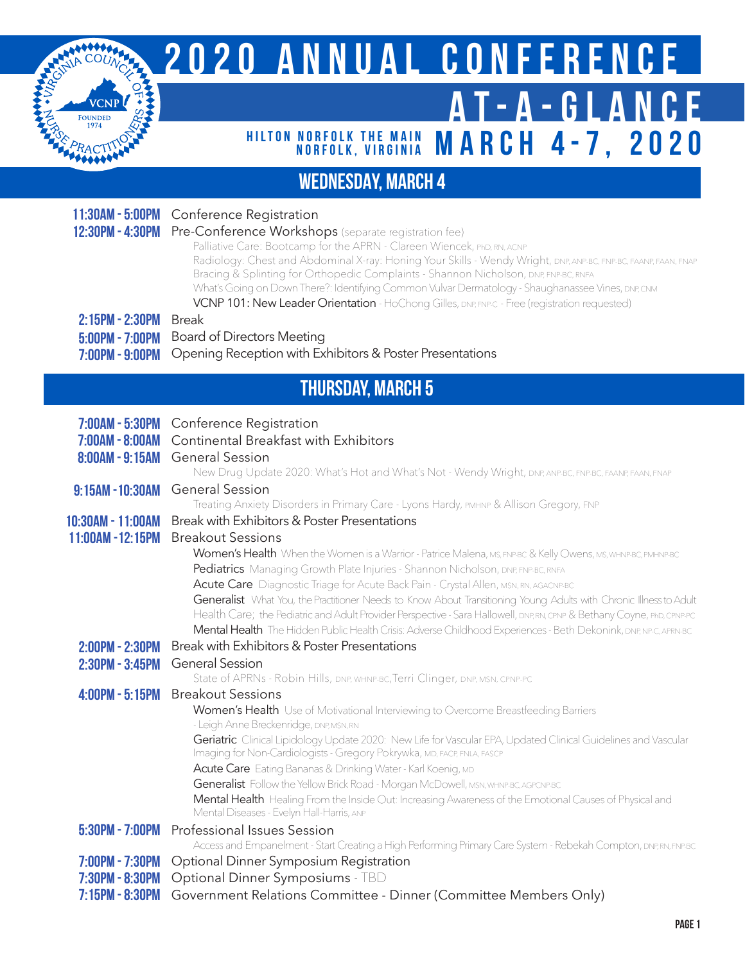

## **2020 ANNUAL CONFERENCE AT-A-GLANCE MARCH 4-7, 2020 HILTON NORFOLK THE MAIN<br>NORFOLK, VIRGINIA**

## **WEDNESDAY, MARCH 4**

| 11:30AM - 5:00PM<br>12:30PM - 4:30PM<br>$2:15PM - 2:30PM$<br>5:00PM - 7:00PM<br>7:00PM - 9:00PM | <b>Conference Registration</b><br>Pre-Conference Workshops (separate registration fee)<br>Palliative Care: Bootcamp for the APRN - Clareen Wiencek, PhD, RN, ACNP<br>Radiology: Chest and Abdominal X-ray: Honing Your Skills - Wendy Wright, DNP, ANP-BC, FNP-BC, FAANP, FAAN, FNAP<br>Bracing & Splinting for Orthopedic Complaints - Shannon Nicholson, DNP, ENP-BC, RNFA<br>What's Going on Down There?: Identifying Common Vulvar Dermatology - Shaughanassee Vines, DNP, CNM<br>VCNP 101: New Leader Orientation - HoChong Gilles, DNP, FNP-C - Free (registration requested)<br><b>Break</b><br><b>Board of Directors Meeting</b><br>Opening Reception with Exhibitors & Poster Presentations                                      |  |
|-------------------------------------------------------------------------------------------------|-------------------------------------------------------------------------------------------------------------------------------------------------------------------------------------------------------------------------------------------------------------------------------------------------------------------------------------------------------------------------------------------------------------------------------------------------------------------------------------------------------------------------------------------------------------------------------------------------------------------------------------------------------------------------------------------------------------------------------------------|--|
| <b>THURSDAY, MARCH 5</b>                                                                        |                                                                                                                                                                                                                                                                                                                                                                                                                                                                                                                                                                                                                                                                                                                                           |  |
| $7:00AM - 5:30PM$<br>7:00AM - 8:00AM<br>8:00AM - 9:15AM                                         | Conference Registration<br>Continental Breakfast with Exhibitors<br><b>General Session</b><br>New Drug Update 2020: What's Hot and What's Not - Wendy Wright, DNP, ANP-BC, FNP-BC, FAANP, FAAN, FNAP                                                                                                                                                                                                                                                                                                                                                                                                                                                                                                                                      |  |
| 9:15AM - 10:30AM                                                                                | <b>General Session</b><br>Treating Anxiety Disorders in Primary Care - Lyons Hardy, PMHNP & Allison Gregory, FNP                                                                                                                                                                                                                                                                                                                                                                                                                                                                                                                                                                                                                          |  |
| 10:30AM - 11:00AM<br>11:00AM - 12:15PM                                                          | Break with Exhibitors & Poster Presentations<br><b>Breakout Sessions</b><br>Women's Health When the Women is a Warrior - Patrice Malena, MS, ENP-BC & Kelly Owens, MS, WHNP-BC, PMHNP-BC<br>Pediatrics Managing Growth Plate Injuries - Shannon Nicholson, DNP, ENP-BC, RNEA<br>Acute Care Diagnostic Triage for Acute Back Pain - Crystal Allen, MSN, RN, AGACNP-BC<br>Generalist What You, the Practitioner Needs to Know About Transitioning Young Adults with Chronic Illness to Adult<br>Health Care; the Pediatric and Adult Provider Perspective - Sara Hallowell, DNP, RN, CPNP & Bethany Coyne, PhD, CPNP-PC<br>Mental Health The Hidden Public Health Crisis: Adverse Childhood Experiences - Beth Dekonink, DNP, NP:C, APRN-BC |  |
| 2:00PM - 2:30PM<br>2:30PM - 3:45PM                                                              | Break with Exhibitors & Poster Presentations<br><b>General Session</b><br>State of APRNs - Robin Hills, DNP, WHNP-BC, Terri Clinger, DNP, MSN, CPNP-PC                                                                                                                                                                                                                                                                                                                                                                                                                                                                                                                                                                                    |  |
| $4:00PM - 5:15PM$                                                                               | <b>Breakout Sessions</b><br>Women's Health Use of Motivational Interviewing to Overcome Breastfeeding Barriers<br>- Leigh Anne Breckenridge, DNP, MSN, RN<br>Geriatric Clinical Lipidology Update 2020: New Life for Vascular EPA, Updated Clinical Guidelines and Vascular<br>Imaging for Non-Cardiologists - Gregory Pokrywka, MD, FACP, FNLA, FASCP<br>Acute Care Eating Bananas & Drinking Water - Karl Koenig, MD<br>Generalist Follow the Yellow Brick Road - Morgan McDowell, MSN, WHNP-BC, AGPONP-BC<br>Mental Health Healing From the Inside Out: Increasing Awareness of the Emotional Causes of Physical and<br>Mental Diseases - Evelyn Hall-Harris, ANP                                                                      |  |
| $5:30PM - 7:00PM$                                                                               | Professional Issues Session                                                                                                                                                                                                                                                                                                                                                                                                                                                                                                                                                                                                                                                                                                               |  |
| 7:00PM - 7:30PM<br>7:30PM - 8:30PM                                                              | Access and Empanelment - Start Creating a High Performing Primary Care System - Rebekah Compton, DNP, RN, FNPBC<br>Optional Dinner Symposium Registration<br>Optional Dinner Symposiums - TBD                                                                                                                                                                                                                                                                                                                                                                                                                                                                                                                                             |  |

**7:15pm - 8:30pm** Government Relations Committee - Dinner (Committee Members Only)